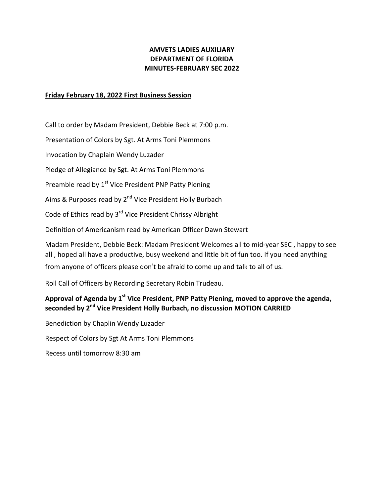### **AMVETS LADIES AUXILIARY DEPARTMENT OF FLORIDA MINUTES-FEBRUARY SEC 2022**

#### **Friday February 18, 2022 First Business Session**

Call to order by Madam President, Debbie Beck at 7:00 p.m.

Presentation of Colors by Sgt. At Arms Toni Plemmons

Invocation by Chaplain Wendy Luzader

Pledge of Allegiance by Sgt. At Arms Toni Plemmons

Preamble read by 1<sup>st</sup> Vice President PNP Patty Piening

Aims & Purposes read by 2<sup>nd</sup> Vice President Holly Burbach

Code of Ethics read by 3<sup>rd</sup> Vice President Chrissy Albright

Definition of Americanism read by American Officer Dawn Stewart

Madam President, Debbie Beck: Madam President Welcomes all to mid-year SEC , happy to see all , hoped all have a productive, busy weekend and little bit of fun too. If you need anything from anyone of officers please don't be afraid to come up and talk to all of us.

Roll Call of Officers by Recording Secretary Robin Trudeau.

# **Approval of Agenda by 1 st Vice President, PNP Patty Piening, moved to approve the agenda, seconded by 2 nd Vice President Holly Burbach, no discussion MOTION CARRIED**

Benediction by Chaplin Wendy Luzader

Respect of Colors by Sgt At Arms Toni Plemmons

Recess until tomorrow 8:30 am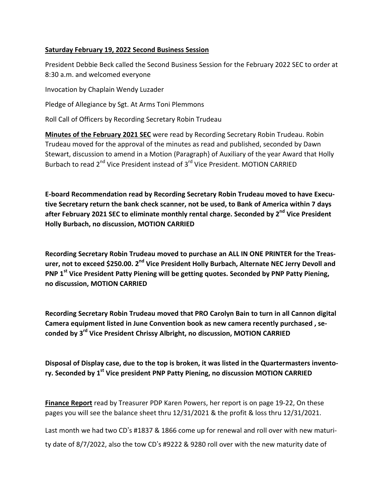#### **Saturday February 19, 2022 Second Business Session**

President Debbie Beck called the Second Business Session for the February 2022 SEC to order at 8:30 a.m. and welcomed everyone

Invocation by Chaplain Wendy Luzader

Pledge of Allegiance by Sgt. At Arms Toni Plemmons

Roll Call of Officers by Recording Secretary Robin Trudeau

**Minutes of the February 2021 SEC** were read by Recording Secretary Robin Trudeau. Robin Trudeau moved for the approval of the minutes as read and published, seconded by Dawn Stewart, discussion to amend in a Motion (Paragraph} of Auxiliary of the year Award that Holly Burbach to read 2<sup>nd</sup> Vice President instead of 3<sup>rd</sup> Vice President. MOTION CARRIED

**E-board Recommendation read by Recording Secretary Robin Trudeau moved to have Executive Secretary return the bank check scanner, not be used, to Bank of America within 7 days after February 2021 SEC to eliminate monthly rental charge. Seconded by 2 nd Vice President Holly Burbach, no discussion, MOTION CARRIED**

**Recording Secretary Robin Trudeau moved to purchase an ALL IN ONE PRINTER for the Treas-** $\mu$  **z exceed** \$250.00. 2<sup>nd</sup> Vice President Holly Burbach, Alternate NEC Jerry Devoll and **PNP 1 st Vice President Patty Piening will be getting quotes. Seconded by PNP Patty Piening, no discussion, MOTION CARRIED**

**Recording Secretary Robin Trudeau moved that PRO Carolyn Bain to turn in all Cannon digital Camera equipment listed in June Convention book as new camera recently purchased , seconded by 3 rd Vice President Chrissy Albright, no discussion, MOTION CARRIED**

**Disposal of Display case, due to the top is broken, it was listed in the Quartermasters inventory. Seconded by 1 st Vice president PNP Patty Piening, no discussion MOTION CARRIED**

**Finance Report** read by Treasurer PDP Karen Powers, her report is on page 19-22, On these pages you will see the balance sheet thru 12/31/2021 & the profit & loss thru 12/31/2021.

Last month we had two CD's #1837 & 1866 come up for renewal and roll over with new maturi-

ty date of 8/7/2022, also the tow CD's #9222 & 9280 roll over with the new maturity date of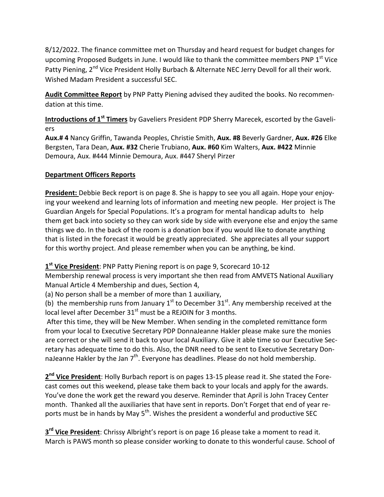8/12/2022. The finance committee met on Thursday and heard request for budget changes for upcoming Proposed Budgets in June. I would like to thank the committee members PNP 1<sup>st</sup> Vice Patty Piening, 2<sup>nd</sup> Vice President Holly Burbach & Alternate NEC Jerry Devoll for all their work. Wished Madam President a successful SEC.

**Audit Committee Report** by PNP Patty Piening advised they audited the books. No recommendation at this time.

**Introductions of 1 st Timers** by Gaveliers President PDP Sherry Marecek, escorted by the Gaveliers

**Aux.# 4** Nancy Griffin, Tawanda Peoples, Christie Smith, **Aux. #8** Beverly Gardner, **Aux. #26** Elke Bergsten, Tara Dean, **Aux. #32** Cherie Trubiano, **Aux. #60** Kim Walters, **Aux. #422** Minnie Demoura, Aux. #444 Minnie Demoura, Aux. #447 Sheryl Pirzer

## **Department Officers Reports**

**President:** Debbie Beck report is on page 8. She is happy to see you all again. Hope your enjoying your weekend and learning lots of information and meeting new people. Her project is The Guardian Angels for Special Populations. It's a program for mental handicap adults to help them get back into society so they can work side by side with everyone else and enjoy the same things we do. In the back of the room is a donation box if you would like to donate anything that is listed in the forecast it would be greatly appreciated. She appreciates all your support for this worthy project. And please remember when you can be anything, be kind.

**1 st Vice President**: PNP Patty Piening report is on page 9, Scorecard 10-12

Membership renewal process is very important she then read from AMVETS National Auxiliary Manual Article 4 Membership and dues, Section 4,

(a) No person shall be a member of more than 1 auxiliary,

(b) the membership runs from January 1<sup>st</sup> to December 31<sup>st</sup>. Any membership received at the local level after December  $31<sup>st</sup>$  must be a REJOIN for 3 months.

After this time, they will be New Member. When sending in the completed remittance form from your local to Executive Secretary PDP DonnaJeanne Hakler please make sure the monies are correct or she will send it back to your local Auxiliary. Give it able time so our Executive Secretary has adequate time to do this. Also, the DNR need to be sent to Executive Secretary DonnaJeanne Hakler by the Jan  $7<sup>th</sup>$ . Everyone has deadlines. Please do not hold membership.

**2 nd Vice President**: Holly Burbach report is on pages 13-15 please read it. She stated the Forecast comes out this weekend, please take them back to your locals and apply for the awards. You've done the work get the reward you deserve. Reminder that April is John Tracey Center month. Thanked all the auxiliaries that have sent in reports. Don't Forget that end of year reports must be in hands by May 5<sup>th</sup>. Wishes the president a wonderful and productive SEC

**3 rd Vice President**: Chrissy Albright's report is on page 16 please take a moment to read it. March is PAWS month so please consider working to donate to this wonderful cause. School of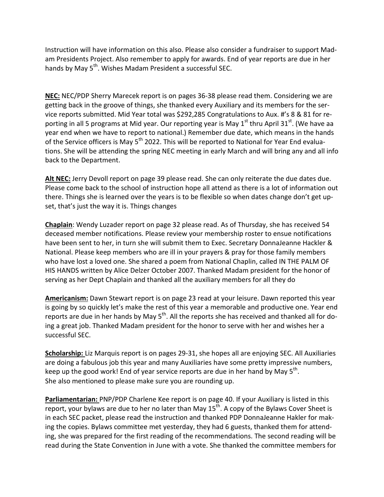Instruction will have information on this also. Please also consider a fundraiser to support Madam Presidents Project. Also remember to apply for awards. End of year reports are due in her hands by May 5<sup>th</sup>. Wishes Madam President a successful SEC.

**NEC:** NEC/PDP Sherry Marecek report is on pages 36-38 please read them. Considering we are getting back in the groove of things, she thanked every Auxiliary and its members for the service reports submitted. Mid Year total was \$292,285 Congratulations to Aux. #'s 8 & 81 for reporting in all 5 programs at Mid year. Our reporting year is May 1<sup>st</sup> thru April 31<sup>st</sup>. (We have aa year end when we have to report to national.) Remember due date, which means in the hands of the Service officers is May 5<sup>th</sup> 2022. This will be reported to National for Year End evaluations. She will be attending the spring NEC meeting in early March and will bring any and all info back to the Department.

**Alt NEC:** Jerry Devoll report on page 39 please read. She can only reiterate the due dates due. Please come back to the school of instruction hope all attend as there is a lot of information out there. Things she is learned over the years is to be flexible so when dates change don't get upset, that's just the way it is. Things changes

**Chaplain**: Wendy Luzader report on page 32 please read. As of Thursday, she has received 54 deceased member notifications. Please review your membership roster to ensue notifications have been sent to her, in turn she will submit them to Exec. Secretary DonnaJeanne Hackler & National. Please keep members who are ill in your prayers & pray for those family members who have lost a loved one. She shared a poem from National Chaplin, called IN THE PALM OF HIS HANDS written by Alice Delzer October 2007. Thanked Madam president for the honor of serving as her Dept Chaplain and thanked all the auxiliary members for all they do

**Americanism:** Dawn Stewart report is on page 23 read at your leisure. Dawn reported this year is going by so quickly let's make the rest of this year a memorable and productive one. Year end reports are due in her hands by May 5<sup>th</sup>. All the reports she has received and thanked all for doing a great job. Thanked Madam president for the honor to serve with her and wishes her a successful SEC.

**Scholarship:** Liz Marquis report is on pages 29-31, she hopes all are enjoying SEC. All Auxiliaries are doing a fabulous job this year and many Auxiliaries have some pretty impressive numbers, keep up the good work! End of year service reports are due in her hand by May 5<sup>th</sup>. She also mentioned to please make sure you are rounding up.

**Parliamentarian:** PNP/PDP Charlene Kee report is on page 40. If your Auxiliary is listed in this report, your bylaws are due to her no later than May 15<sup>th</sup>. A copy of the Bylaws Cover Sheet is in each SEC packet, please read the instruction and thanked PDP DonnaJeanne Hakler for making the copies. Bylaws committee met yesterday, they had 6 guests, thanked them for attending, she was prepared for the first reading of the recommendations. The second reading will be read during the State Convention in June with a vote. She thanked the committee members for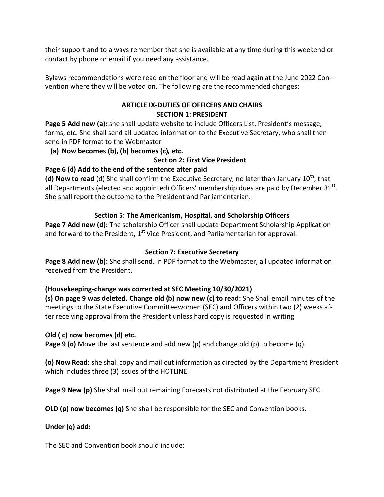their support and to always remember that she is available at any time during this weekend or contact by phone or email if you need any assistance.

Bylaws recommendations were read on the floor and will be read again at the June 2022 Convention where they will be voted on. The following are the recommended changes:

## **ARTICLE IX-DUTIES OF OFFICERS AND CHAIRS SECTION 1: PRESIDENT**

**Page 5 Add new (a):** she shall update website to include Officers List, President's message, forms, etc. She shall send all updated information to the Executive Secretary, who shall then send in PDF format to the Webmaster

**(a) Now becomes (b), (b) becomes (c), etc.**

### **Section 2: First Vice President**

### **Page 6 (d) Add to the end of the sentence after paid**

(d) Now to read (d) She shall confirm the Executive Secretary, no later than January 10<sup>th</sup>, that all Departments (elected and appointed) Officers' membership dues are paid by December 31 $^{\text{st}}$ . She shall report the outcome to the President and Parliamentarian.

## **Section 5: The Americanism, Hospital, and Scholarship Officers**

**Page 7 Add new (d):** The scholarship Officer shall update Department Scholarship Application and forward to the President,  $1^{st}$  Vice President, and Parliamentarian for approval.

### **Section 7: Executive Secretary**

**Page 8 Add new (b):** She shall send, in PDF format to the Webmaster, all updated information received from the President.

## **(Housekeeping-change was corrected at SEC Meeting 10/30/2021)**

**(s) On page 9 was deleted. Change old (b) now new (c) to read:** She Shall email minutes of the meetings to the State Executive Committeewomen (SEC) and Officers within two (2) weeks after receiving approval from the President unless hard copy is requested in writing

### **Old ( c) now becomes (d) etc.**

**Page 9 (o)** Move the last sentence and add new (p) and change old (p) to become (q).

**(o) Now Read**: she shall copy and mail out information as directed by the Department President which includes three (3) issues of the HOTLINE.

**Page 9 New (p)** She shall mail out remaining Forecasts not distributed at the February SEC.

**OLD (p) now becomes (q)** She shall be responsible for the SEC and Convention books.

### **Under (q) add:**

The SEC and Convention book should include: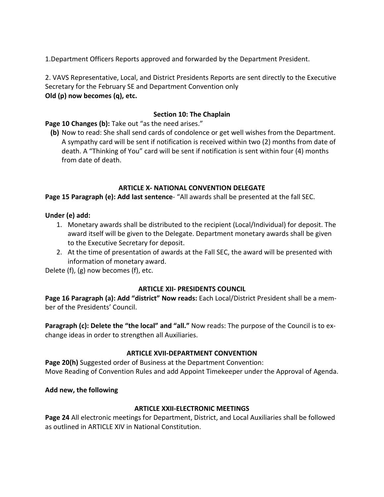1.Department Officers Reports approved and forwarded by the Department President.

2. VAVS Representative, Local, and District Presidents Reports are sent directly to the Executive Secretary for the February SE and Department Convention only **Old (p) now becomes (q), etc.**

#### **Section 10: The Chaplain**

**Page 10 Changes (b):** Take out "as the need arises."

**(b)** Now to read: She shall send cards of condolence or get well wishes from the Department. A sympathy card will be sent if notification is received within two (2) months from date of death. A "Thinking of You" card will be sent if notification is sent within four (4) months from date of death.

#### **ARTICLE X- NATIONAL CONVENTION DELEGATE**

**Page 15 Paragraph (e): Add last sentence**- "All awards shall be presented at the fall SEC.

#### **Under (e) add:**

- 1. Monetary awards shall be distributed to the recipient (Local/Individual) for deposit. The award itself will be given to the Delegate. Department monetary awards shall be given to the Executive Secretary for deposit.
- 2. At the time of presentation of awards at the Fall SEC, the award will be presented with information of monetary award.

Delete (f), (g) now becomes (f), etc.

#### **ARTICLE XII- PRESIDENTS COUNCIL**

**Page 16 Paragraph (a): Add "district" Now reads:** Each Local/District President shall be a member of the Presidents' Council.

**Paragraph (c): Delete the "the local" and "all."** Now reads: The purpose of the Council is to exchange ideas in order to strengthen all Auxiliaries.

#### **ARTICLE XVII-DEPARTMENT CONVENTION**

**Page 20(h)** Suggested order of Business at the Department Convention: Move Reading of Convention Rules and add Appoint Timekeeper under the Approval of Agenda.

#### **Add new, the following**

### **ARTICLE XXII-ELECTRONIC MEETINGS**

**Page 24** All electronic meetings for Department, District, and Local Auxiliaries shall be followed as outlined in ARTICLE XIV in National Constitution.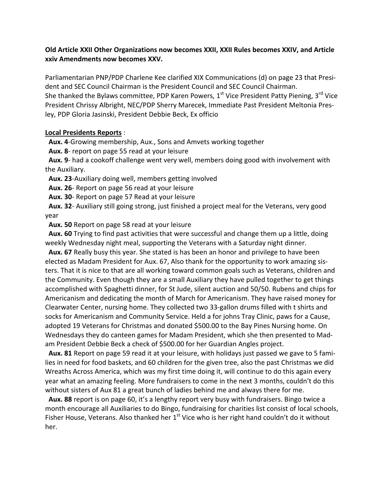#### **Old Article XXII Other Organizations now becomes XXII, XXII Rules becomes XXIV, and Article xxiv Amendments now becomes XXV.**

Parliamentarian PNP/PDP Charlene Kee clarified XIX Communications (d) on page 23 that President and SEC Council Chairman is the President Council and SEC Council Chairman. She thanked the Bylaws committee, PDP Karen Powers, 1<sup>st</sup> Vice President Patty Piening, 3<sup>rd</sup> Vice President Chrissy Albright, NEC/PDP Sherry Marecek, Immediate Past President Meltonia Presley, PDP Gloria Jasinski, President Debbie Beck, Ex officio

#### **Local Presidents Reports** :

 **Aux. 4**-Growing membership, Aux., Sons and Amvets working together

 **Aux. 8**- report on page 55 read at your leisure

 **Aux. 9**- had a cookoff challenge went very well, members doing good with involvement with the Auxiliary.

**Aux. 23**-Auxiliary doing well, members getting involved

**Aux. 26**- Report on page 56 read at your leisure

 **Aux. 30**- Report on page 57 Read at your leisure

 **Aux. 32**- Auxiliary still going strong, just finished a project meal for the Veterans, very good year

**Aux. 50** Report on page 58 read at your leisure

 **Aux. 60** Trying to find past activities that were successful and change them up a little, doing weekly Wednesday night meal, supporting the Veterans with a Saturday night dinner.

 **Aux. 67** Really busy this year. She stated is has been an honor and privilege to have been elected as Madam President for Aux. 67, Also thank for the opportunity to work amazing sisters. That it is nice to that are all working toward common goals such as Veterans, children and the Community. Even though they are a small Auxiliary they have pulled together to get things accomplished with Spaghetti dinner, for St Jude, silent auction and 50/50. Rubens and chips for Americanism and dedicating the month of March for Americanism. They have raised money for Clearwater Center, nursing home. They collected two 33-gallon drums filled with t shirts and socks for Americanism and Community Service. Held a for johns Tray Clinic, paws for a Cause, adopted 19 Veterans for Christmas and donated \$500.00 to the Bay Pines Nursing home. On Wednesdays they do canteen games for Madam President, which she then presented to Madam President Debbie Beck a check of \$500.00 for her Guardian Angles project.

 **Aux. 81** Report on page 59 read it at your leisure, with holidays just passed we gave to 5 families in need for food baskets, and 60 children for the given tree, also the past Christmas we did Wreaths Across America, which was my first time doing it, will continue to do this again every year what an amazing feeling. More fundraisers to come in the next 3 months, couldn't do this without sisters of Aux 81 a great bunch of ladies behind me and always there for me.

 **Aux. 88** report is on page 60, it's a lengthy report very busy with fundraisers. Bingo twice a month encourage all Auxiliaries to do Bingo, fundraising for charities list consist of local schools, Fisher House, Veterans. Also thanked her 1<sup>st</sup> Vice who is her right hand couldn't do it without her.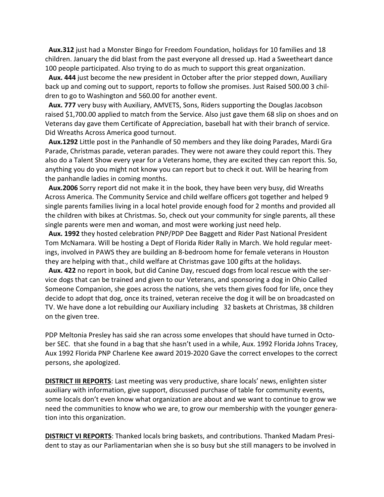**Aux.312** just had a Monster Bingo for Freedom Foundation, holidays for 10 families and 18 children. January the did blast from the past everyone all dressed up. Had a Sweetheart dance 100 people participated. Also trying to do as much to support this great organization.

 **Aux. 444** just become the new president in October after the prior stepped down, Auxiliary back up and coming out to support, reports to follow she promises. Just Raised 500.00 3 children to go to Washington and 560.00 for another event.

 **Aux. 777** very busy with Auxiliary, AMVETS, Sons, Riders supporting the Douglas Jacobson raised \$1,700.00 applied to match from the Service. Also just gave them 68 slip on shoes and on Veterans day gave them Certificate of Appreciation, baseball hat with their branch of service. Did Wreaths Across America good turnout.

 **Aux.1292** Little post in the Panhandle of 50 members and they like doing Parades, Mardi Gra Parade, Christmas parade, veteran parades. They were not aware they could report this. They also do a Talent Show every year for a Veterans home, they are excited they can report this. So, anything you do you might not know you can report but to check it out. Will be hearing from the panhandle ladies in coming months.

 **Aux.2006** Sorry report did not make it in the book, they have been very busy, did Wreaths Across America. The Community Service and child welfare officers got together and helped 9 single parents families living in a local hotel provide enough food for 2 months and provided all the children with bikes at Christmas. So, check out your community for single parents, all these single parents were men and woman, and most were working just need help.

 **Aux. 1992** they hosted celebration PNP/PDP Dee Baggett and Rider Past National President Tom McNamara. Will be hosting a Dept of Florida Rider Rally in March. We hold regular meetings, involved in PAWS they are building an 8-bedroom home for female veterans in Houston they are helping with that., child welfare at Christmas gave 100 gifts at the holidays.

 **Aux. 422** no report in book, but did Canine Day, rescued dogs from local rescue with the service dogs that can be trained and given to our Veterans, and sponsoring a dog in Ohio Called Someone Companion, she goes across the nations, she vets them gives food for life, once they decide to adopt that dog, once its trained, veteran receive the dog it will be on broadcasted on TV. We have done a lot rebuilding our Auxiliary including 32 baskets at Christmas, 38 children on the given tree.

PDP Meltonia Presley has said she ran across some envelopes that should have turned in October SEC. that she found in a bag that she hasn't used in a while, Aux. 1992 Florida Johns Tracey, Aux 1992 Florida PNP Charlene Kee award 2019-2020 Gave the correct envelopes to the correct persons, she apologized.

**DISTRICT III REPORTS**: Last meeting was very productive, share locals' news, enlighten sister auxiliary with information, give support, discussed purchase of table for community events, some locals don't even know what organization are about and we want to continue to grow we need the communities to know who we are, to grow our membership with the younger generation into this organization.

**DISTRICT VI REPORTS**: Thanked locals bring baskets, and contributions. Thanked Madam President to stay as our Parliamentarian when she is so busy but she still managers to be involved in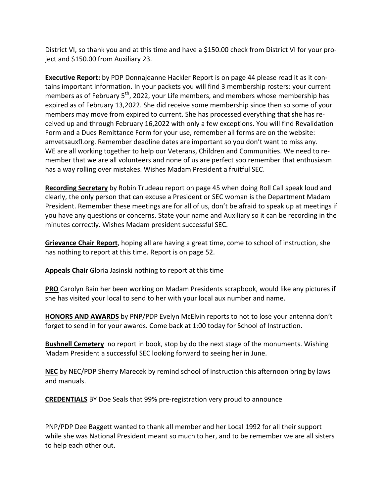District VI, so thank you and at this time and have a \$150.00 check from District VI for your project and \$150.00 from Auxiliary 23.

**Executive Report:** by PDP Donnajeanne Hackler Report is on page 44 please read it as it contains important information. In your packets you will find 3 membership rosters: your current members as of February 5<sup>th</sup>, 2022, your Life members, and members whose membership has expired as of February 13,2022. She did receive some membership since then so some of your members may move from expired to current. She has processed everything that she has received up and through February 16,2022 with only a few exceptions. You will find Revalidation Form and a Dues Remittance Form for your use, remember all forms are on the website: amvetsauxfl.org. Remember deadline dates are important so you don't want to miss any. WE are all working together to help our Veterans, Children and Communities. We need to remember that we are all volunteers and none of us are perfect soo remember that enthusiasm has a way rolling over mistakes. Wishes Madam President a fruitful SEC.

**Recording Secretary** by Robin Trudeau report on page 45 when doing Roll Call speak loud and clearly, the only person that can excuse a President or SEC woman is the Department Madam President. Remember these meetings are for all of us, don't be afraid to speak up at meetings if you have any questions or concerns. State your name and Auxiliary so it can be recording in the minutes correctly. Wishes Madam president successful SEC.

**Grievance Chair Report**, hoping all are having a great time, come to school of instruction, she has nothing to report at this time. Report is on page 52.

**Appeals Chair** Gloria Jasinski nothing to report at this time

**PRO** Carolyn Bain her been working on Madam Presidents scrapbook, would like any pictures if she has visited your local to send to her with your local aux number and name.

**HONORS AND AWARDS** by PNP/PDP Evelyn McElvin reports to not to lose your antenna don't forget to send in for your awards. Come back at 1:00 today for School of Instruction.

**Bushnell Cemetery** no report in book, stop by do the next stage of the monuments. Wishing Madam President a successful SEC looking forward to seeing her in June.

**NEC** by NEC/PDP Sherry Marecek by remind school of instruction this afternoon bring by laws and manuals.

**CREDENTIALS** BY Doe Seals that 99% pre-registration very proud to announce

PNP/PDP Dee Baggett wanted to thank all member and her Local 1992 for all their support while she was National President meant so much to her, and to be remember we are all sisters to help each other out.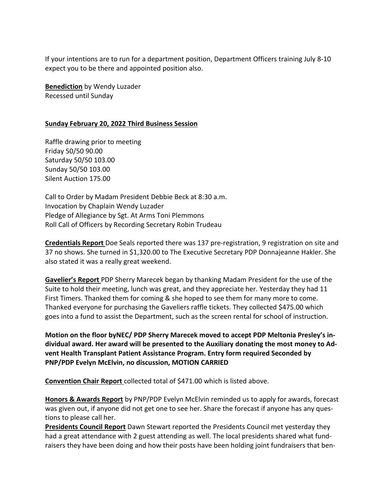If your intentions are to run for a department position, Department Officers training July 8-10 expect you to be there and appointed position also.

**Benediction** by Wendy Luzader Recessed until Sunday

#### **Sunday February 20, 2022 Third Business Session**

Raffle drawing prior to meeting Friday 50/50 90.00 Saturday 50/50 103.00 Sunday 50/50 103.00 Silent Auction 175.00

Call to Order by Madam President Debbie Beck at 8:30 a.m. Invocation by Chaplain Wendy Luzader Pledge of Allegiance by Sgt. At Arms Toni Plemmons Roll Call of Officers by Recording Secretary Robin Trudeau

**Credentials Report** Doe Seals reported there was 137 pre-registration, 9 registration on site and 37 no shows. She turned in \$1,320.00 to The Executive Secretary PDP Donnajeanne Hakler. She also stated it was a really great weekend.

**Gavelier's Report** PDP Sherry Marecek began by thanking Madam President for the use of the Suite to hold their meeting, lunch was great, and they appreciate her. Yesterday they had 11 First Timers. Thanked them for coming & she hoped to see them for many more to come. Thanked everyone for purchasing the Gaveliers raffle tickets. They collected \$475.00 which goes into a fund to assist the Department, such as the screen rental for school of instruction.

**Motion on the floor byNEC/ PDP Sherry Marecek moved to accept PDP Meltonia Presley's individual award. Her award will be presented to the Auxiliary donating the most money to Advent Health Transplant Patient Assistance Program. Entry form required Seconded by PNP/PDP Evelyn McElvin, no discussion, MOTION CARRIED**

**Convention Chair Report** collected total of \$471.00 which is listed above.

**Honors & Awards Report** by PNP/PDP Evelyn McElvin reminded us to apply for awards, forecast was given out, if anyone did not get one to see her. Share the forecast if anyone has any questions to please call her.

**Presidents Council Report** Dawn Stewart reported the Presidents Council met yesterday they had a great attendance with 2 guest attending as well. The local presidents shared what fundraisers they have been doing and how their posts have been holding joint fundraisers that ben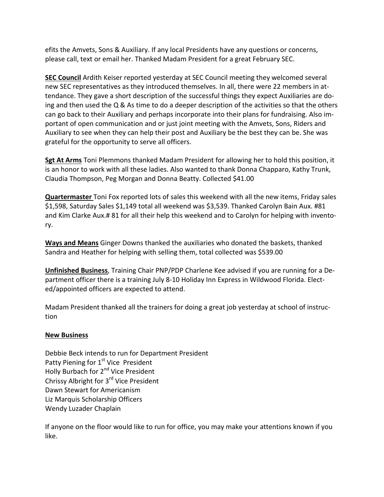efits the Amvets, Sons & Auxiliary. If any local Presidents have any questions or concerns, please call, text or email her. Thanked Madam President for a great February SEC.

**SEC Council** Ardith Keiser reported yesterday at SEC Council meeting they welcomed several new SEC representatives as they introduced themselves. In all, there were 22 members in attendance. They gave a short description of the successful things they expect Auxiliaries are doing and then used the  $Q$  & As time to do a deeper description of the activities so that the others can go back to their Auxiliary and perhaps incorporate into their plans for fundraising. Also important of open communication and or just joint meeting with the Amvets, Sons, Riders and Auxiliary to see when they can help their post and Auxiliary be the best they can be. She was grateful for the opportunity to serve all officers.

**Sgt At Arms** Toni Plemmons thanked Madam President for allowing her to hold this position, it is an honor to work with all these ladies. Also wanted to thank Donna Chapparo, Kathy Trunk, Claudia Thompson, Peg Morgan and Donna Beatty. Collected \$41.00

**Quartermaster** Toni Fox reported lots of sales this weekend with all the new items, Friday sales \$1,598, Saturday Sales \$1,149 total all weekend was \$3,539. Thanked Carolyn Bain Aux. #81 and Kim Clarke Aux.# 81 for all their help this weekend and to Carolyn for helping with inventory.

**Ways and Means** Ginger Downs thanked the auxiliaries who donated the baskets, thanked Sandra and Heather for helping with selling them, total collected was \$539.00

**Unfinished Business**, Training Chair PNP/PDP Charlene Kee advised if you are running for a Department officer there is a training July 8-10 Holiday Inn Express in Wildwood Florida. Elected/appointed officers are expected to attend.

Madam President thanked all the trainers for doing a great job yesterday at school of instruction

### **New Business**

Debbie Beck intends to run for Department President Patty Piening for 1<sup>st</sup> Vice President Holly Burbach for 2<sup>nd</sup> Vice President Chrissy Albright for 3<sup>rd</sup> Vice President Dawn Stewart for Americanism Liz Marquis Scholarship Officers Wendy Luzader Chaplain

If anyone on the floor would like to run for office, you may make your attentions known if you like.